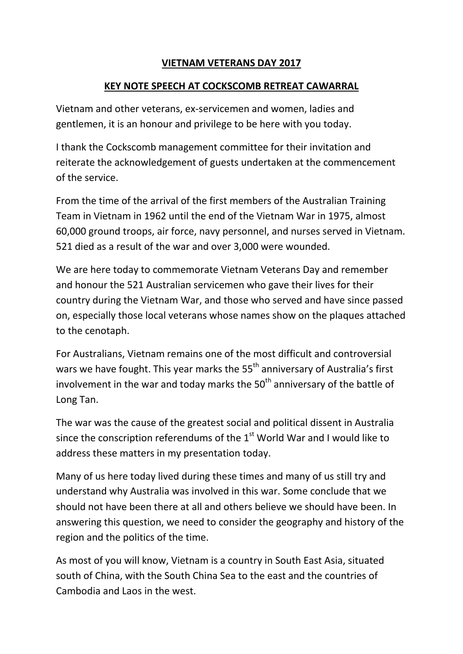## **VIETNAM VETERANS DAY 2017**

## **KEY NOTE SPEECH AT COCKSCOMB RETREAT CAWARRAL**

Vietnam and other veterans, ex-servicemen and women, ladies and gentlemen, it is an honour and privilege to be here with you today.

I thank the Cockscomb management committee for their invitation and reiterate the acknowledgement of guests undertaken at the commencement of the service.

From the time of the arrival of the first members of the Australian Training Team in Vietnam in 1962 until the end of the Vietnam War in 1975, almost 60,000 ground troops, air force, navy personnel, and nurses served in Vietnam. 521 died as a result of the war and over 3,000 were wounded.

We are here today to commemorate Vietnam Veterans Day and remember and honour the 521 Australian servicemen who gave their lives for their country during the Vietnam War, and those who served and have since passed on, especially those local veterans whose names show on the plaques attached to the cenotaph.

For Australians, Vietnam remains one of the most difficult and controversial wars we have fought. This year marks the 55<sup>th</sup> anniversary of Australia's first involvement in the war and today marks the  $50<sup>th</sup>$  anniversary of the battle of Long Tan.

The war was the cause of the greatest social and political dissent in Australia since the conscription referendums of the  $1<sup>st</sup>$  World War and I would like to address these matters in my presentation today.

Many of us here today lived during these times and many of us still try and understand why Australia was involved in this war. Some conclude that we should not have been there at all and others believe we should have been. In answering this question, we need to consider the geography and history of the region and the politics of the time.

As most of you will know, Vietnam is a country in South East Asia, situated south of China, with the South China Sea to the east and the countries of Cambodia and Laos in the west.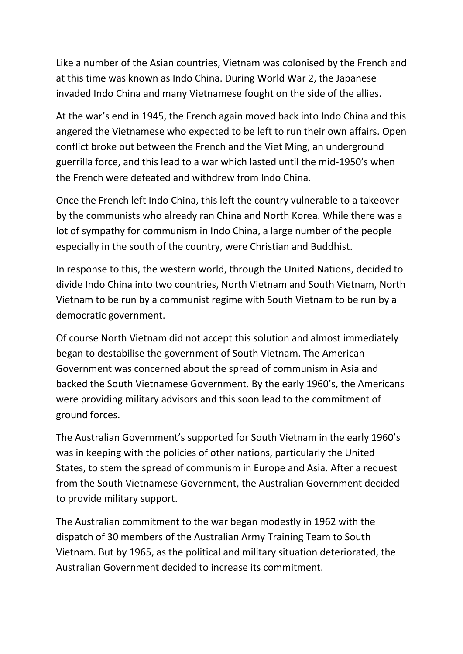Like a number of the Asian countries, Vietnam was colonised by the French and at this time was known as Indo China. During World War 2, the Japanese invaded Indo China and many Vietnamese fought on the side of the allies.

At the war's end in 1945, the French again moved back into Indo China and this angered the Vietnamese who expected to be left to run their own affairs. Open conflict broke out between the French and the Viet Ming, an underground guerrilla force, and this lead to a war which lasted until the mid-1950's when the French were defeated and withdrew from Indo China.

Once the French left Indo China, this left the country vulnerable to a takeover by the communists who already ran China and North Korea. While there was a lot of sympathy for communism in Indo China, a large number of the people especially in the south of the country, were Christian and Buddhist.

In response to this, the western world, through the United Nations, decided to divide Indo China into two countries, North Vietnam and South Vietnam, North Vietnam to be run by a communist regime with South Vietnam to be run by a democratic government.

Of course North Vietnam did not accept this solution and almost immediately began to destabilise the government of South Vietnam. The American Government was concerned about the spread of communism in Asia and backed the South Vietnamese Government. By the early 1960's, the Americans were providing military advisors and this soon lead to the commitment of ground forces.

The Australian Government's supported for South Vietnam in the early 1960's was in keeping with the policies of other nations, particularly the United States, to stem the spread of communism in Europe and Asia. After a request from the South Vietnamese Government, the Australian Government decided to provide military support.

The Australian commitment to the war began modestly in 1962 with the dispatch of 30 members of the Australian Army Training Team to South Vietnam. But by 1965, as the political and military situation deteriorated, the Australian Government decided to increase its commitment.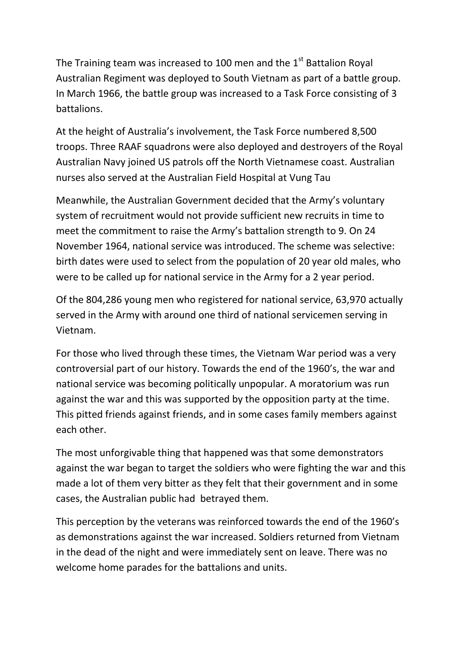The Training team was increased to 100 men and the  $1<sup>st</sup>$  Battalion Royal Australian Regiment was deployed to South Vietnam as part of a battle group. In March 1966, the battle group was increased to a Task Force consisting of 3 battalions.

At the height of Australia's involvement, the Task Force numbered 8,500 troops. Three RAAF squadrons were also deployed and destroyers of the Royal Australian Navy joined US patrols off the North Vietnamese coast. Australian nurses also served at the Australian Field Hospital at Vung Tau

Meanwhile, the Australian Government decided that the Army's voluntary system of recruitment would not provide sufficient new recruits in time to meet the commitment to raise the Army's battalion strength to 9. On 24 November 1964, national service was introduced. The scheme was selective: birth dates were used to select from the population of 20 year old males, who were to be called up for national service in the Army for a 2 year period.

Of the 804,286 young men who registered for national service, 63,970 actually served in the Army with around one third of national servicemen serving in Vietnam.

For those who lived through these times, the Vietnam War period was a very controversial part of our history. Towards the end of the 1960's, the war and national service was becoming politically unpopular. A moratorium was run against the war and this was supported by the opposition party at the time. This pitted friends against friends, and in some cases family members against each other.

The most unforgivable thing that happened was that some demonstrators against the war began to target the soldiers who were fighting the war and this made a lot of them very bitter as they felt that their government and in some cases, the Australian public had betrayed them.

This perception by the veterans was reinforced towards the end of the 1960's as demonstrations against the war increased. Soldiers returned from Vietnam in the dead of the night and were immediately sent on leave. There was no welcome home parades for the battalions and units.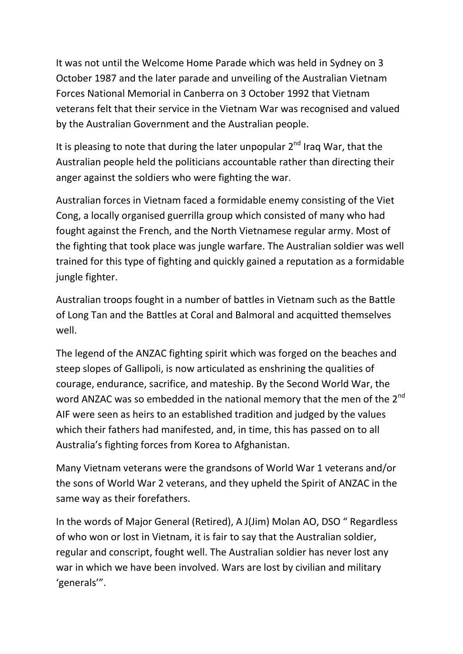It was not until the Welcome Home Parade which was held in Sydney on 3 October 1987 and the later parade and unveiling of the Australian Vietnam Forces National Memorial in Canberra on 3 October 1992 that Vietnam veterans felt that their service in the Vietnam War was recognised and valued by the Australian Government and the Australian people.

It is pleasing to note that during the later unpopular  $2^{nd}$  Iraq War, that the Australian people held the politicians accountable rather than directing their anger against the soldiers who were fighting the war.

Australian forces in Vietnam faced a formidable enemy consisting of the Viet Cong, a locally organised guerrilla group which consisted of many who had fought against the French, and the North Vietnamese regular army. Most of the fighting that took place was jungle warfare. The Australian soldier was well trained for this type of fighting and quickly gained a reputation as a formidable jungle fighter.

Australian troops fought in a number of battles in Vietnam such as the Battle of Long Tan and the Battles at Coral and Balmoral and acquitted themselves well.

The legend of the ANZAC fighting spirit which was forged on the beaches and steep slopes of Gallipoli, is now articulated as enshrining the qualities of courage, endurance, sacrifice, and mateship. By the Second World War, the word ANZAC was so embedded in the national memory that the men of the 2<sup>nd</sup> AIF were seen as heirs to an established tradition and judged by the values which their fathers had manifested, and, in time, this has passed on to all Australia's fighting forces from Korea to Afghanistan.

Many Vietnam veterans were the grandsons of World War 1 veterans and/or the sons of World War 2 veterans, and they upheld the Spirit of ANZAC in the same way as their forefathers.

In the words of Major General (Retired), A J(Jim) Molan AO, DSO " Regardless of who won or lost in Vietnam, it is fair to say that the Australian soldier, regular and conscript, fought well. The Australian soldier has never lost any war in which we have been involved. Wars are lost by civilian and military 'generals'".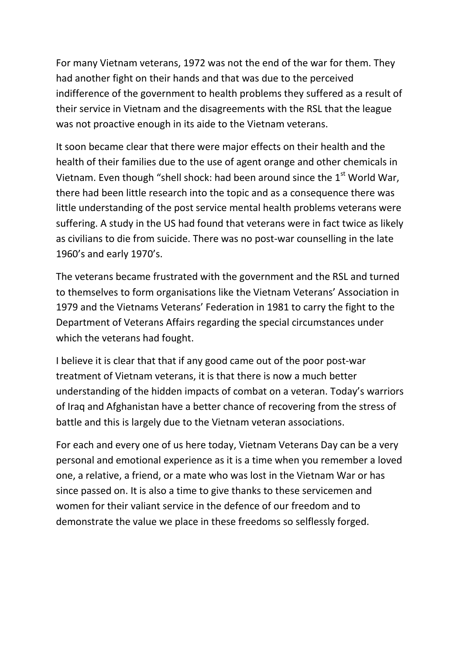For many Vietnam veterans, 1972 was not the end of the war for them. They had another fight on their hands and that was due to the perceived indifference of the government to health problems they suffered as a result of their service in Vietnam and the disagreements with the RSL that the league was not proactive enough in its aide to the Vietnam veterans.

It soon became clear that there were major effects on their health and the health of their families due to the use of agent orange and other chemicals in Vietnam. Even though "shell shock: had been around since the  $1<sup>st</sup>$  World War, there had been little research into the topic and as a consequence there was little understanding of the post service mental health problems veterans were suffering. A study in the US had found that veterans were in fact twice as likely as civilians to die from suicide. There was no post-war counselling in the late 1960's and early 1970's.

The veterans became frustrated with the government and the RSL and turned to themselves to form organisations like the Vietnam Veterans' Association in 1979 and the Vietnams Veterans' Federation in 1981 to carry the fight to the Department of Veterans Affairs regarding the special circumstances under which the veterans had fought.

I believe it is clear that that if any good came out of the poor post-war treatment of Vietnam veterans, it is that there is now a much better understanding of the hidden impacts of combat on a veteran. Today's warriors of Iraq and Afghanistan have a better chance of recovering from the stress of battle and this is largely due to the Vietnam veteran associations.

For each and every one of us here today, Vietnam Veterans Day can be a very personal and emotional experience as it is a time when you remember a loved one, a relative, a friend, or a mate who was lost in the Vietnam War or has since passed on. It is also a time to give thanks to these servicemen and women for their valiant service in the defence of our freedom and to demonstrate the value we place in these freedoms so selflessly forged.